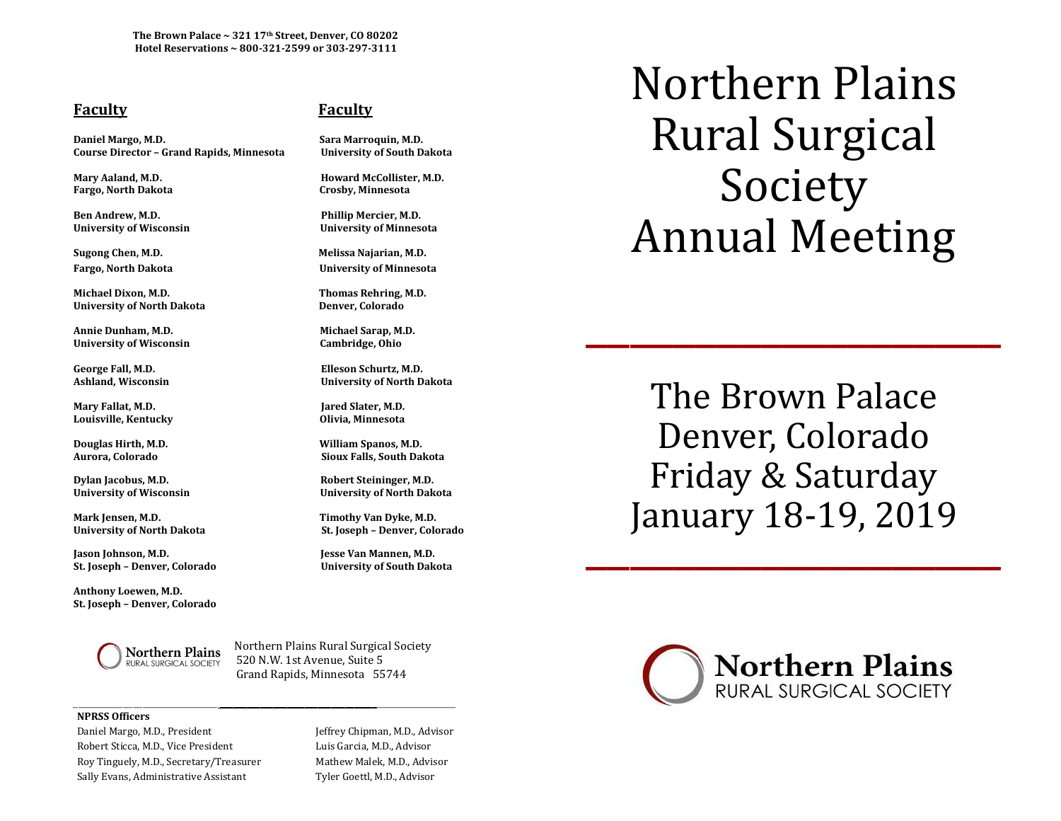**The Brown Palace ~ 321 17th Street, Denver, CO 80202 Hotel Reservations ~ 800-321-2599 or 303-297-3111**

## **Faculty Faculty**

**Daniel Margo, M.D. Sara Marroquin, M.D. Course Director – Grand Rapids, Minnesota University of South Dakota**

**Fargo, North Dakota Crosby, Minnesota**

**Ben Andrew, M.D. Phillip Mercier, M.D.**

**Sugong Chen, M.D. Melissa Najarian, M.D.**

**Michael Dixon, M.D. Thomas Rehring, M.D. University of North Dakota Denver, Colorado**

**Annie Dunham, M.D. Michael Sarap, M.D. University of Wisconsin Cambridge, Ohio**

Mary Fallat, M.D. **Jared Slater, M.D. Louisville, Kentucky Olivia, Minnesota**

**Douglas Hirth, M.D. William Spanos, M.D.** 

**Dylan Jacobus, M.D. Robert Steininger, M.D.**

**Mark Jensen, M.D. Timothy Van Dyke, M.D.** 

**Jason Johnson, M.D. Jesse Van Mannen, M.D. St. Joseph – Denver, Colorado University of South Dakota**

**Anthony Loewen, M.D. St. Joseph – Denver, Colorado** 

**Mary Aaland, M.D. Howard McCollister, M.D.**

**University of Wisconsin University of Minnesota**

**Fargo, North Dakota University of Minnesota**

**George Fall, M.D. Elleson Schurtz, M.D. Ashland, Wisconsin University of North Dakota**

**Aurora, Colorado Sioux Falls, South Dakota**

**University of Wisconsin University of North Dakota**

**University of North Dakota St. Joseph – Denver, Colorado**

Northern Plains Northern Plains Rural Surgical Society RURAL SURGICAL SOCIETY 520 N.W. 1st Avenue, Suite 5 Grand Rapids, Minnesota 55744

\_\_\_\_\_\_\_\_\_\_\_\_\_\_\_\_\_\_\_\_\_\_\_\_\_\_\_\_\_ \_\_\_\_\_\_\_\_\_\_\_\_\_\_\_\_\_\_\_\_\_\_\_\_\_\_\_\_\_\_\_\_\_\_\_\_\_\_\_\_\_\_\_\_\_\_\_\_\_\_\_

## **NPRSS Officers**

Daniel Margo, M.D., President Jeffrey Chipman, M.D., Advisor Robert Sticca, M.D., Vice President Luis Garcia, M.D., Advisor Roy Tinguely, M.D., Secretary/Treasurer Mathew Malek, M.D., Advisor Sally Evans, Administrative Assistant Tyler Goettl, M.D., Advisor

Northern Plains Rural Surgical Society Annual Meeting

The Brown Palace Denver, Colorado Friday & Saturday January 18-19, 2019 Jdliudi y 10-19, 2019

\_\_\_\_\_\_\_\_\_\_\_\_\_\_\_\_\_\_\_